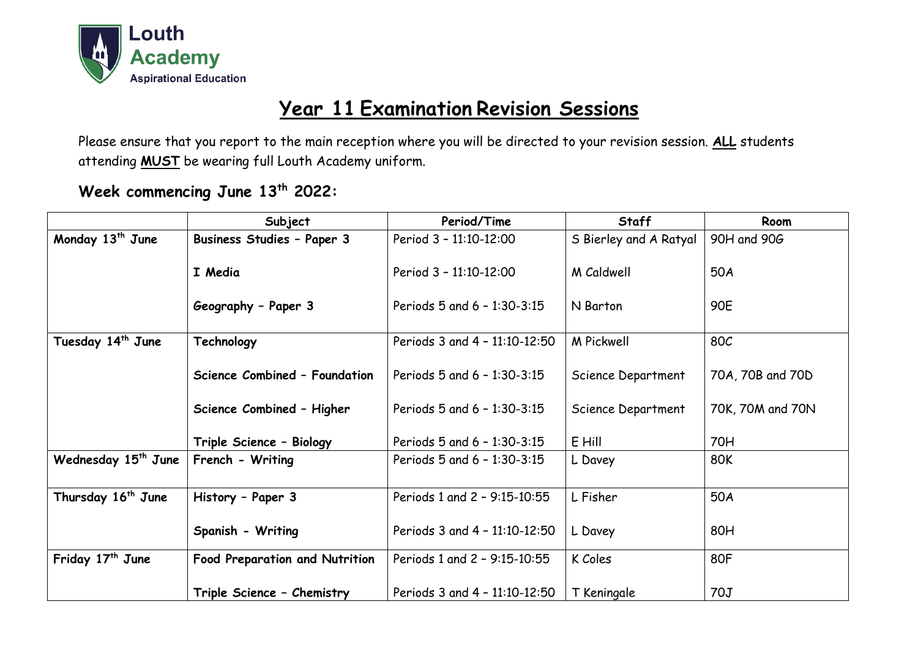

## **Year 11 Examination Revision Sessions**

Please ensure that you report to the main reception where you will be directed to your revision session. **ALL** students attending **MUST** be wearing full Louth Academy uniform.

## **Week commencing June 13 th 2022:**

|                                 | Subject                               | Period/Time                   | <b>Staff</b>           | Room             |
|---------------------------------|---------------------------------------|-------------------------------|------------------------|------------------|
| Monday 13 <sup>th</sup> June    | <b>Business Studies - Paper 3</b>     | Period 3 - 11:10-12:00        | S Bierley and A Ratyal | 90H and 90G      |
|                                 | I Media                               | Period 3 - 11:10-12:00        | M Caldwell             | 50A              |
|                                 | Geography - Paper 3                   | Periods 5 and 6 - 1:30-3:15   | N Barton               | <b>90E</b>       |
| Tuesday 14 <sup>th</sup> June   | Technology                            | Periods 3 and 4 - 11:10-12:50 | <b>M</b> Pickwell      | 80C              |
|                                 | Science Combined - Foundation         | Periods 5 and 6 - 1:30-3:15   | Science Department     | 70A, 70B and 70D |
|                                 | Science Combined - Higher             | Periods 5 and 6 - 1:30-3:15   | Science Department     | 70K, 70M and 70N |
|                                 | Triple Science - Biology              | Periods 5 and 6 - 1:30-3:15   | E Hill                 | <b>70H</b>       |
| Wednesday 15 <sup>th</sup> June | French - Writing                      | Periods 5 and 6 - 1:30-3:15   | L Davey                | 80K              |
| Thursday 16 <sup>th</sup> June  | History - Paper 3                     | Periods 1 and 2 - 9:15-10:55  | L Fisher               | 50A              |
|                                 | Spanish - Writing                     | Periods 3 and 4 - 11:10-12:50 | L Davey                | 80H              |
| Friday 17 <sup>th</sup> June    | <b>Food Preparation and Nutrition</b> | Periods 1 and 2 - 9:15-10:55  | K Coles                | 80F              |
|                                 | Triple Science - Chemistry            | Periods 3 and 4 - 11:10-12:50 | T Keningale            | 70J              |